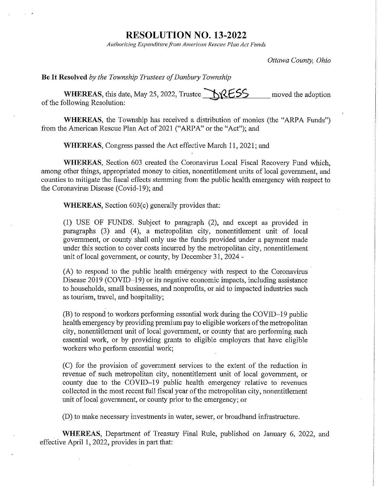## **RESOLUTION NO. 13-2022**

*Authorizing Expenditure fr0111 American Rescue Plan A cf Funds* 

*Ottawa County, Ohio* 

Be It Resolved *by the Township Trustees of Danbury Township* 

WHEREAS, this date, May 25, 2022, Trustee  $\bigcirc$   $\bigcirc$   $\{$   $\&$   $\leq$   $\leq$ of the following Resolution: moved the adoption

WHEREAS, the Township has received a distribution of monies (the "ARPA Funds") from the American Rescue Plan Act of 2021 ("ARPA" or the "Act"); and

WHEREAS, Congress passed the Act effective March 11, 2021; and

WHEREAS, Section 603 created the Coronavirus Local Fiscal Recovery Fund which, among other things, appropriated money to cities, nonentitlement units of local government, and counties to mitigate the fiscal effects stemming from the public health emergency with respect to the Coronavirus Disease (Covid-19); and

WHEREAS, Section 603(c) generally provides that:

(1) USE OF FUNDS. Subject to paragraph (2), and except as provided in paragraphs (3) and (4), a metropolitan city, nonentitlement unit of local government, or county shall only use the funds provided under a payment made under this section to cover costs incurred by the metropolitan city, nonentitlement unit of local government, or county, by December 31, 2024 -

 $(A)$  to respond to the public health emergency with respect to the Coronavirus Disease 2019 (COVID-19) or its negative economic impacts, including assistance to households, small businesses, and nonprofits, or aid to impacted industries such as tourism, travel, and hospitality;

(B) to respond to workers performing essential work during the COVID-19 public health emergency by providing premium pay to eligible workers of the metropolitan city, nonentitlement unit of local government, or county that are performing such essential work, or by providing grants to eligible employers that have eligible workers who perform essential work;

(C) for the provision of govemment services to the extent of the reduction in revenue of such metropolitan city, nonentitlement unit of local government, or county due to the COVID-19 public health emergency relative to revenues collected in the most recent full fiscal year of the metropolitan city, nonentitlement unit of local govemment, or county prior to the emergency; or

(D) to make necessary investments in water, sewer, or broadband infrastructure.

WHEREAS, Department of Treasury Final Rule, published on January 6, 2022, and effective April I, 2022, provides in part that: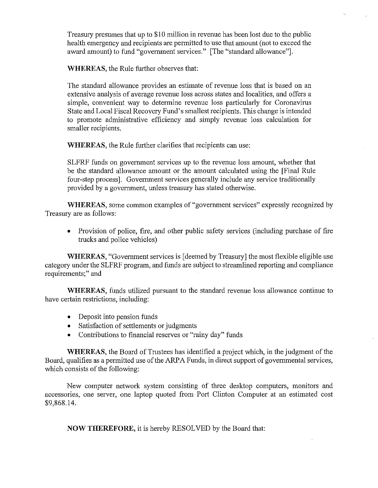Treasury presumes that up to \$10 million in revenue has been lost due to the public health emergency and recipients are permitted to use that amount (not to exceed the award amount) to fund "government services." [The "standard allowance"].

**WHEREAS,** the Rule further observes that:

The standard allowance provides an estimate of revenue loss that is based on an extensive analysis of average revenue loss across states and localities, and offers a simple, convenient way to determine revenue loss particularly for Coronavirus State and Local Fiscal Recovery Fund's smallest recipients. This change is intended to promote administrative efficiency and simply revenue loss calculation for smaller recipients.

**WHEREAS,** the Rule further clarifies that recipients can use:

SLFRF funds on government services up to the revenue loss amount, whether that be the standard allowance amount or the amount calculated using the [Final Rule four-step process]. Government services generally include any service traditionally provided by a government, unless treasury has stated otherwise.

**WHEREAS,** some common examples of "government services" expressly recognized by Treasury are as follows:

• Provision of police, fire, and other public safety services (including purchase of fire trucks and police vehicles)

**WHEREAS,** "Government services is [deemed by Treasury] the most flexible eligible use category under the SLFRF program, and funds are subject to streamlined reporting and compliance requirements;" and

**WHEREAS,** funds utilized pursuant to the standard revenue loss allowance continue to have certain restrictions, including:

- Deposit into pension funds
- Satisfaction of settlements or judgments
- Contributions to financial reserves or "rainy day" funds

**WHEREAS,** the Board of Trustees has identified a project which, in the judgment of the Board, qualifies as a permitted use of the **ARPA** Funds, in direct support of governmental services, which consists of the following:

New computer network system consisting of three desktop computers, monitors and accessories, one server, one laptop quoted from Port Clinton Computer at an estimated cost \$9,868.14.

**NOW THEREFORE,** it is hereby RESOLVED by the Board that: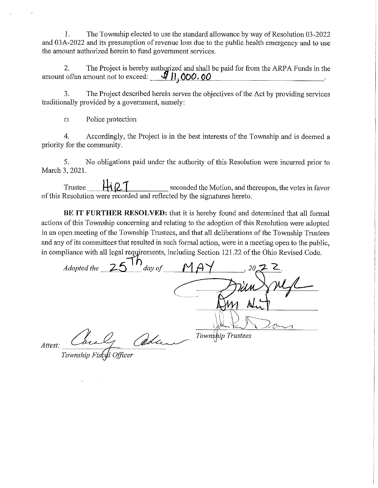1. The Township elected to use the standard allowance by way of Resolution 03-2022 and 03A-2022 and its presumption of revenue loss due to the public health emergency and to use the amount authorized herein to fund government services.

2. The Project is hereby authorized and shall be paid for from the ARPA Funds in the amount of/an amount not to exceed: **1.000.00** . **...** 

3. The Project described herein serves the objectives of the Act by providing services traditionally provided by a government, namely:

o Police protection

4. Accordingly, the Project is in the best interests of the Township and is deemed a priority for the community.

5. No obligations paid under the authority of this Resolution were incurred prior to March 3, 2021.

Trustee  $\mathbf{H} \Omega$  **1** seconded the Motion, and thereupon, the votes in favor of this Resolution were recorded and reflected by the signatures hereto.

**BE IT FURTHER RESOLVED:** that it is hereby found and determined that all formal actions of this Township concerning and relating to the adoption of this Resolution were adopted in an open meeting of the Township Trustees, and that all deliberations of the Township Trustees and any of its committees that resulted in such formal action, were in a meeting open to the public, in compliance with all legal requirements, including Section 121.22 of the Ohio Revised Code.

 $\overline{AB}$  *Adopted the*  $\overline{25}$   $\overline{1h}$  *day of TownS ip Trustees*  \

*Attest:* 

*1 Officer*